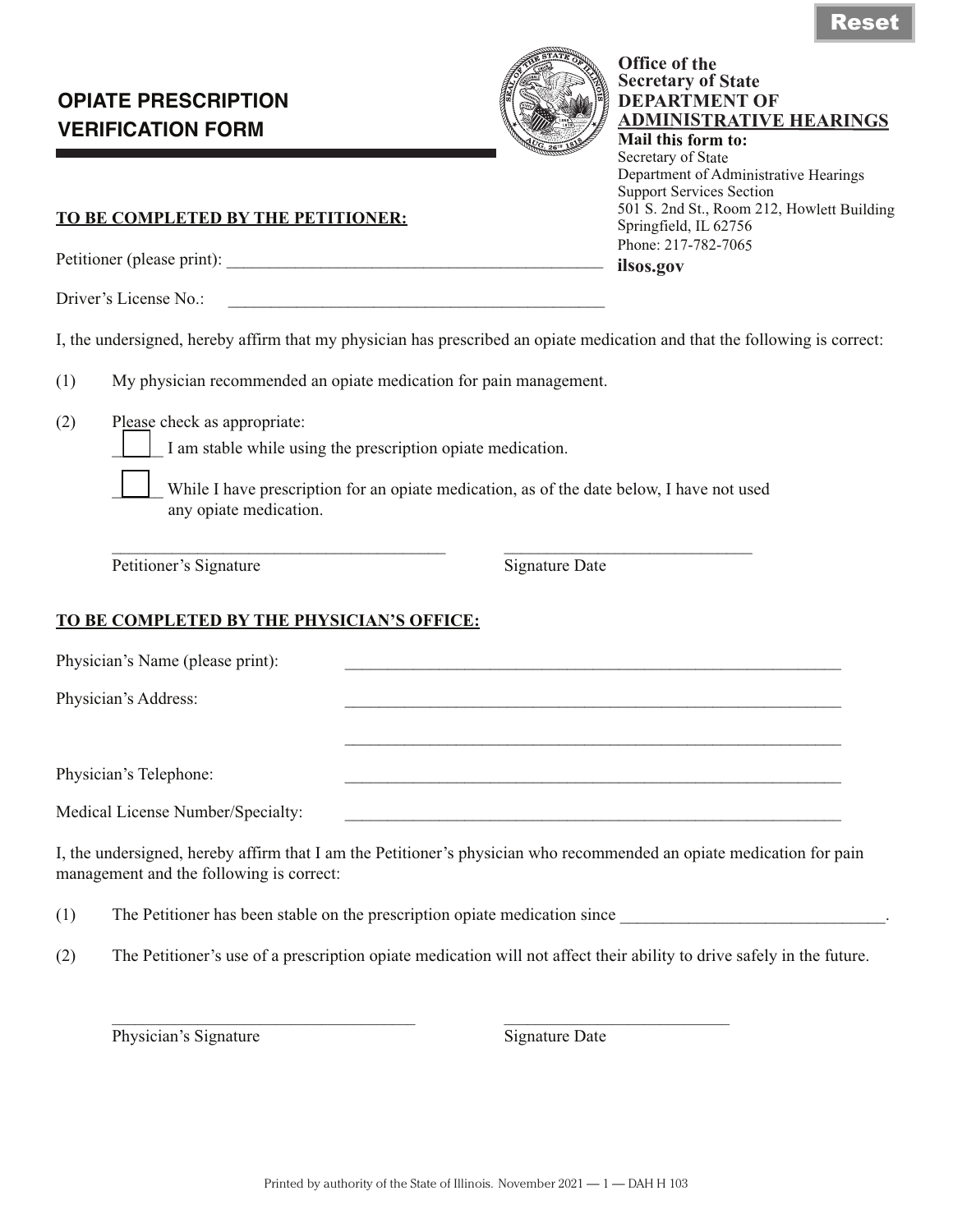# **OPIATE PRESCRIPTION VERIFICATION FORM**



### **Office of the Secretary of State DEPARTMENT OF ADMINISTRATIVE HEARINGS Mail this form to:**

Secretary of State Department of Administrative Hearings Support Services Section 501 S. 2nd St., Room 212, Howlett Building Springfield, IL 62756 Phone: 217-782-7065 **ilsos.gov**

**TO BE COMPLETED BY THE PETITIONER:**

Petitioner (please print): \_\_\_\_\_\_\_\_\_\_\_\_\_\_\_\_\_\_\_\_\_\_\_\_\_\_\_\_\_\_\_\_\_\_\_\_\_\_\_\_\_\_\_\_

Driver's License No.:

I, the undersigned, hereby affirm that my physician has prescribed an opiate medication and that the following is correct:

- (1) My physician recommended an opiate medication for pain management.
- (2) Please check as appropriate:

I am stable while using the prescription opiate medication.

While I have prescription for an opiate medication, as of the date below, I have not used any opiate medication.

\_\_\_\_\_\_\_\_\_\_\_\_\_\_\_\_\_\_\_\_\_\_\_\_\_\_\_\_\_\_\_\_\_\_\_\_\_\_\_ \_\_\_\_\_\_\_\_\_\_\_\_\_\_\_\_\_\_\_\_\_\_\_\_\_\_\_\_\_

Petitioner's Signature Date Signature Date

## **TO BE COMPLETED BY THE PHYSICIAN'S OFFICE:**

| Physician's Name (please print):  |  |
|-----------------------------------|--|
| Physician's Address:              |  |
|                                   |  |
| Physician's Telephone:            |  |
|                                   |  |
| Medical License Number/Specialty: |  |
|                                   |  |

I, the undersigned, hereby affirm that I am the Petitioner's physician who recommended an opiate medication for pain management and the following is correct:

(1) The Petitioner has been stable on the prescription opiate medication since

(2) The Petitioner's use of a prescription opiate medication will not affect their ability to drive safely in the future.

Physician's Signature Date Signature Date

 $\_$  , and the set of the set of the set of the set of the set of the set of the set of the set of the set of the set of the set of the set of the set of the set of the set of the set of the set of the set of the set of th